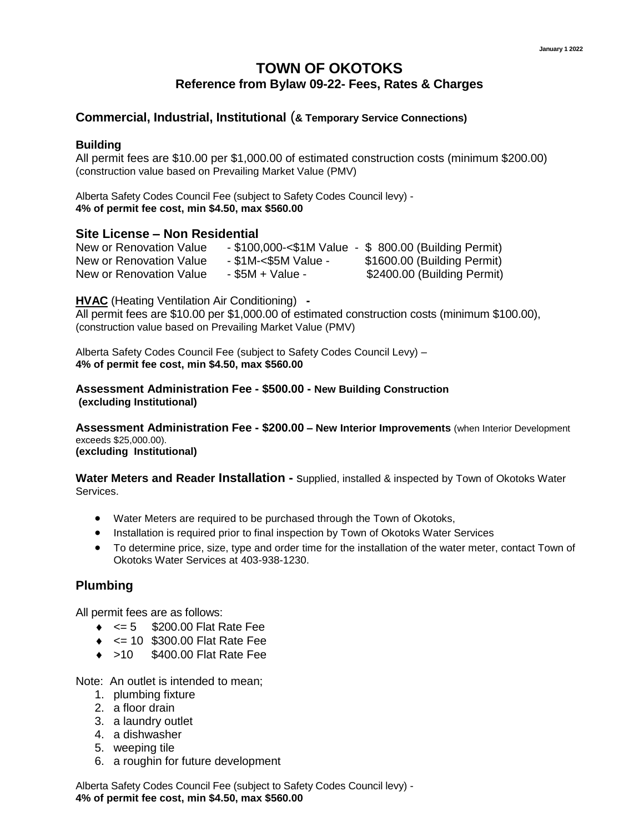# **TOWN OF OKOTOKS Reference from Bylaw 09-22- Fees, Rates & Charges**

# **Commercial, Industrial, Institutional** (**& Temporary Service Connections)**

#### **Building**

All permit fees are \$10.00 per \$1,000.00 of estimated construction costs (minimum \$200.00) (construction value based on Prevailing Market Value (PMV)

Alberta Safety Codes Council Fee (subject to Safety Codes Council levy) - **4% of permit fee cost, min \$4.50, max \$560.00**

#### **Site License – Non Residential**

| New or Renovation Value |                      | $-$ \$100,000-<\$1M Value $-$ \$ 800.00 (Building Permit) |
|-------------------------|----------------------|-----------------------------------------------------------|
| New or Renovation Value | - \$1M-<\$5M Value - | \$1600.00 (Building Permit)                               |
| New or Renovation Value | $-$ \$5M + Value -   | \$2400.00 (Building Permit)                               |

**HVAC** (Heating Ventilation Air Conditioning) **-** 

All permit fees are \$10.00 per \$1,000.00 of estimated construction costs (minimum \$100.00), (construction value based on Prevailing Market Value (PMV)

Alberta Safety Codes Council Fee (subject to Safety Codes Council Levy) – **4% of permit fee cost, min \$4.50, max \$560.00**

**Assessment Administration Fee - \$500.00 - New Building Construction (excluding Institutional)**

**Assessment Administration Fee - \$200.00 – New Interior Improvements** (when Interior Development exceeds \$25,000.00). **(excluding Institutional)** 

**Water Meters and Reader Installation -** supplied, installed & inspected by Town of Okotoks Water Services.

- Water Meters are required to be purchased through the Town of Okotoks,
- Installation is required prior to final inspection by Town of Okotoks Water Services
- To determine price, size, type and order time for the installation of the water meter, contact Town of Okotoks Water Services at 403-938-1230.

## **Plumbing**

All permit fees are as follows:

- $\bullet \quad \Leftarrow 5 \quad$  \$200.00 Flat Rate Fee
- <= 10 \$300.00 Flat Rate Fee
- ◆ >10 \$400.00 Flat Rate Fee

Note: An outlet is intended to mean;

- 1. plumbing fixture
- 2. a floor drain
- 3. a laundry outlet
- 4. a dishwasher
- 5. weeping tile
- 6. a roughin for future development

Alberta Safety Codes Council Fee (subject to Safety Codes Council levy) - **4% of permit fee cost, min \$4.50, max \$560.00**